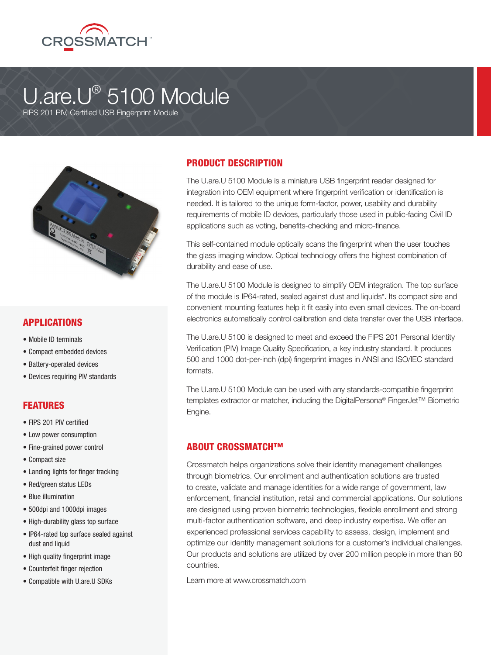

# U.are.U® 5100 Module

FIPS 201 PIV, Certified USB Fingerprint Module



#### APPLICATIONS

- Mobile ID terminals
- Compact embedded devices
- Battery-operated devices
- Devices requiring PIV standards

### FEATURES

- FIPS 201 PIV certified
- Low power consumption
- Fine-grained power control
- Compact size
- Landing lights for finger tracking
- Red/green status LEDs
- Blue illumination
- 500dpi and 1000dpi images
- High-durability glass top surface
- IP64-rated top surface sealed against dust and liquid
- High quality fingerprint image
- Counterfeit finger rejection
- Compatible with U.are.U SDKs

## PRODUCT DESCRIPTION

The U.are.U 5100 Module is a miniature USB fingerprint reader designed for integration into OEM equipment where fingerprint verification or identification is needed. It is tailored to the unique form-factor, power, usability and durability requirements of mobile ID devices, particularly those used in public-facing Civil ID applications such as voting, benefits-checking and micro-finance.

This self-contained module optically scans the fingerprint when the user touches the glass imaging window. Optical technology offers the highest combination of durability and ease of use.

The U.are.U 5100 Module is designed to simplify OEM integration. The top surface of the module is IP64-rated, sealed against dust and liquids\*. Its compact size and convenient mounting features help it fit easily into even small devices. The on-board electronics automatically control calibration and data transfer over the USB interface.

The U.are.U 5100 is designed to meet and exceed the FIPS 201 Personal Identity Verification (PIV) Image Quality Specification, a key industry standard. It produces 500 and 1000 dot-per-inch (dpi) fingerprint images in ANSI and ISO/IEC standard formats.

The U.are.U 5100 Module can be used with any standards-compatible fingerprint templates extractor or matcher, including the DigitalPersona® FingerJet™ Biometric Engine.

#### ABOUT CROSSMATCH™

Crossmatch helps organizations solve their identity management challenges through biometrics. Our enrollment and authentication solutions are trusted to create, validate and manage identities for a wide range of government, law enforcement, financial institution, retail and commercial applications. Our solutions are designed using proven biometric technologies, flexible enrollment and strong multi-factor authentication software, and deep industry expertise. We offer an experienced professional services capability to assess, design, implement and optimize our identity management solutions for a customer's individual challenges. Our products and solutions are utilized by over 200 million people in more than 80 countries.

Learn more at www.crossmatch.com